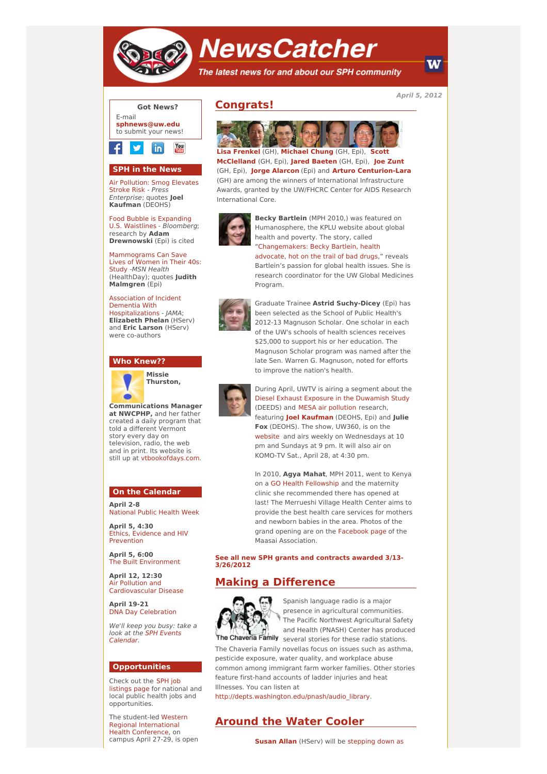

# **NewsCatcher**

The latest news for and about our SPH community

**April 5, 2012**

W



## **SPH in the News**

Air [Pollution:](http://www.pe.com/local-news/topics/topics-environment-headlines/20120317-air-pollution-smog-elevates-stroke-risk.ece?ssimg=5043) Smog Elevates Stroke Risk - Press Enterprise; quotes **Joel Kaufman** (DEOHS)

Food Bubble is [Expanding](http://engage.washington.edu/site/R?i=02FrFMct1wZ6oGVATsIn9g) U.S. Waistlines - Bloomberg; research by **Adam Drewnowski** (Epi) is cited

[Mammograms](http://engage.washington.edu/site/R?i=GWf7NHzhtqvkIS2RchSTmQ) Can Save Lives of Women in Their 40s: Study -MSN Health (HealthDay); quotes **Judith Malmgren** (Epi)

Association of Incident Dementia With [Hospitalizations](http://engage.washington.edu/site/R?i=we8cyOxFfDg3hHh0hdsqJA) - JAMA; **Elizabeth Phelan** (HServ) and **Eric Larson** (HServ) were co-authors

#### **Who Knew??**



**Missie Thurston,**

**Communications Manager at NWCPHP,** and her father created a daily program that told a different Vermont story every day on television, radio, the web and in print. Its website is still up at [vtbookofdays.com](http://engage.washington.edu/site/R?i=vLUQW5jxCEC491Rgbrkh8g).

#### **On the Calendar**

**April 2-8** [National](http://engage.washington.edu/site/R?i=lWhdnlN1znpvW6Jo3PbY9w) Public Health Week

**April 5, 4:30** Ethics, Evidence and HIV [Prevention](http://engage.washington.edu/site/R?i=AwhnG7W7-LJrxQuvZkPMvg)

**April 5, 6:00** The Built [Environment](http://engage.washington.edu/site/R?i=ya34-TGf1V1aPm7Sb-3x5Q)

**April 12, 12:30** Air Pollution and [Cardiovascular](http://engage.washington.edu/site/R?i=ZRSfccpWvGdDnCFX8Uu2zg) Disease

**April 19-21** DNA Day [Celebration](http://engage.washington.edu/site/R?i=kNmiT3kkZf6MIi91NFJlKQ)

We'll keep you busy: take a look at the SPH Events [Calendar.](http://engage.washington.edu/site/R?i=Hrr2yfCxPvgaYtrtEaALvg)

### **Opportunities**

Check out the SPH job [listings](http://engage.washington.edu/site/R?i=fs525saloLH1qEt7m0S-AQ) page for national and local public health jobs and opportunities.

The student-led Western Regional [International](http://engage.washington.edu/site/R?i=7zwzx_CcNPYO0XG5kFWNaQ) Health Conference, on campus April 27-29, is open

# **Congrats!**



**Lisa [Frenkel](http://engage.washington.edu/site/R?i=bqzt7yegbB-SKrh4kqpdXw)** (GH), **[Michael](http://engage.washington.edu/site/R?i=_KgzJib0ZH7ixqmz5g1ViA) Chung** (GH, Epi), **Scott [McClelland](http://engage.washington.edu/site/R?i=2vJ1ARjseGSyUmtI_9--eQ)** (GH, Epi), **Jared [Baeten](http://engage.washington.edu/site/R?i=9oAMUw6-JVZsJVsZnT6pWA)** (GH, Epi), **Joe [Zunt](http://engage.washington.edu/site/R?i=qgFyb1UDyTC5-9qXsQI8wg)** (GH, Epi), **Jorge [Alarcon](http://engage.washington.edu/site/R?i=vWeGOGEik7vJ2MIgHzpDSw)** (Epi) and **Arturo [Centurion-Lara](http://engage.washington.edu/site/R?i=ztWHfQxhF-9S158boMiccA)** (GH) are among the winners of International Infrastructure Awards, granted by the UW/FHCRC Center for AIDS Research International Core.



**Becky Bartlein** (MPH 2010,) was featured on Humanosphere, the KPLU website about global health and poverty. The story, called ["Changemakers:](http://engage.washington.edu/site/R?i=_-j2zNiGkl4mJoHdvNZNDg) Becky Bartlein, health

advocate, hot on the trail of bad drugs," reveals Bartlein's passion for global health issues. She is research coordinator for the UW Global Medicines Program.



Graduate Trainee **Astrid Suchy-Dicey** (Epi) has been selected as the School of Public Health's 2012-13 Magnuson Scholar. One scholar in each of the UW's schools of health sciences receives \$25,000 to support his or her education. The Magnuson Scholar program was named after the late Sen. Warren G. Magnuson, noted for efforts to improve the nation's health.



During April, UWTV is airing a segment about the Diesel Exhaust Exposure in the [Duwamish](http://engage.washington.edu/site/R?i=CbRhb_CJv0O1ACnN-DolYw) Study (DEEDS) and MESA air [pollution](http://engage.washington.edu/site/R?i=F1CH6aVy5v_OHXDNoMqT4w) research, featuring **Joel [Kaufman](http://engage.washington.edu/site/R?i=0BsvTLGeKa09_tcfhQZKBg)** (DEOHS, Epi) and **Julie Fox** (DEOHS). The show, UW360, is on the [website](http://engage.washington.edu/site/R?i=isvPADl6SO9RXF17pEnt4w) and airs weekly on Wednesdays at 10 pm and Sundays at 9 pm. It will also air on KOMO-TV Sat., April 28, at 4:30 pm.

In 2010, **Agya Mahat**, MPH 2011, went to Kenya on a GO Health [Fellowship](http://engage.washington.edu/site/R?i=VGQb1OV5Pr4n8BZrHs95Gg) and the maternity clinic she recommended there has opened at last! The Merrueshi Village Health Center aims to provide the best health care services for mothers and newborn babies in the area. Photos of the grand opening are on the [Facebook](http://engage.washington.edu/site/R?i=2zxgsWxEb6r-7TidCm1PZw) page of the Maasai Association.

**See all new SPH grants and contracts awarded 3/13- [3/26/2012](http://engage.washington.edu/site/R?i=Ad-lb1t7B25Vcaj61Y4DZQ)**

# **Making a Difference**



Spanish language radio is a major presence in agricultural communities. The Pacific Northwest Agricultural Safety and Health (PNASH) Center has produced The Chaveria Family several stories for these radio stations.

The Chaveria Family novellas focus on issues such as asthma, pesticide exposure, water quality, and workplace abuse common among immigrant farm worker families. Other stories feature first-hand accounts of ladder injuries and heat Illnesses. You can listen at

[http://depts.washington.edu/pnash/audio\\_library](http://engage.washington.edu/site/R?i=NyXK53lcCBvu1XCYB6utag).

## **Around the Water Cooler**

**[Susan](http://engage.washington.edu/site/R?i=BbgZnLJb-8vNQDWtYRob9w) Allan** (HServ) will be [stepping](http://engage.washington.edu/site/R?i=KiESgEVArLUNgyJT3xpVnA) down as